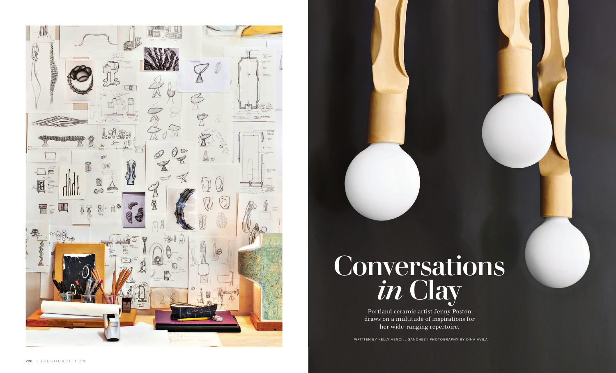



## Conversations *in* Clay

Portland ceramic artist Jenny Poston draws on a multitude of inspirations for her wide-ranging repertoire.

WRITTEN BY KELLY VENCILL SANCHEZ | PHOTOGRAPHY BY DINA AVILA